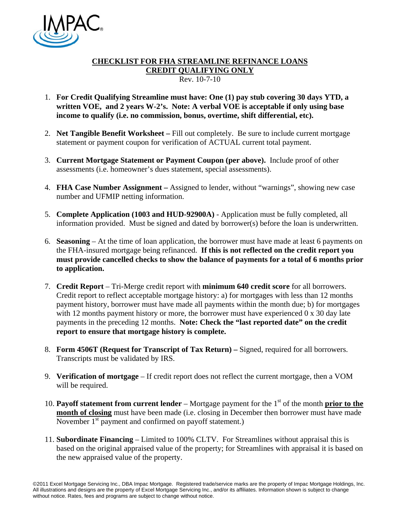

## **CHECKLIST FOR FHA STREAMLINE REFINANCE LOANS CREDIT QUALIFYING ONLY**

Rev. 10-7-10

- 1. **For Credit Qualifying Streamline must have: One (1) pay stub covering 30 days YTD, a written VOE, and 2 years W-2's. Note: A verbal VOE is acceptable if only using base income to qualify (i.e. no commission, bonus, overtime, shift differential, etc).**
- 2. **Net Tangible Benefit Worksheet** Fill out completely. Be sure to include current mortgage statement or payment coupon for verification of ACTUAL current total payment.
- 3. **Current Mortgage Statement or Payment Coupon (per above).** Include proof of other assessments (i.e. homeowner's dues statement, special assessments).
- 4. **FHA Case Number Assignment –** Assigned to lender, without "warnings", showing new case number and UFMIP netting information.
- 5. **Complete Application (1003 and HUD-92900A)** Application must be fully completed, all information provided. Must be signed and dated by borrower(s) before the loan is underwritten.
- 6. **Seasoning**  At the time of loan application, the borrower must have made at least 6 payments on the FHA-insured mortgage being refinanced. **If this is not reflected on the credit report you must provide cancelled checks to show the balance of payments for a total of 6 months prior to application.**
- 7. **Credit Report**  Tri-Merge credit report with **minimum 640 credit score** for all borrowers. Credit report to reflect acceptable mortgage history: a) for mortgages with less than 12 months payment history, borrower must have made all payments within the month due; b) for mortgages with 12 months payment history or more, the borrower must have experienced 0 x 30 day late payments in the preceding 12 months. **Note: Check the "last reported date" on the credit report to ensure that mortgage history is complete.**
- 8. **Form 4506T (Request for Transcript of Tax Return)** Signed, required for all borrowers. Transcripts must be validated by IRS.
- 9. **Verification of mortgage**  If credit report does not reflect the current mortgage, then a VOM will be required.
- 10. **Payoff statement from current lender** Mortgage payment for the 1st of the month **prior to the month of closing** must have been made (i.e. closing in December then borrower must have made November  $1<sup>st</sup>$  payment and confirmed on payoff statement.)
- 11. **Subordinate Financing**  Limited to 100% CLTV. For Streamlines without appraisal this is based on the original appraised value of the property; for Streamlines with appraisal it is based on the new appraised value of the property.